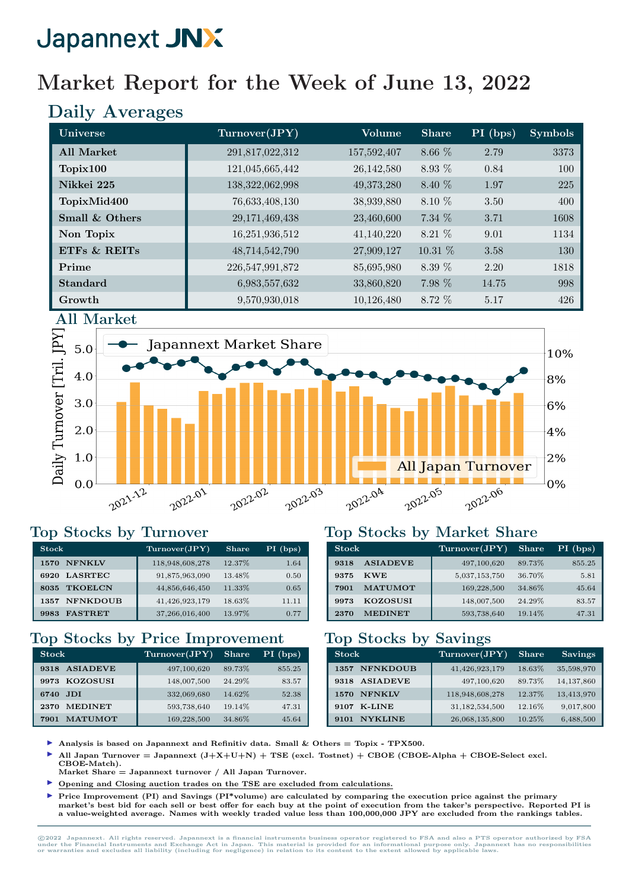## Market Report for the Week of June 13, 2022

### Daily Averages

| Universe          | Turnover(JPY)   | Volume      | <b>Share</b> | PI (bps) | <b>Symbols</b> |
|-------------------|-----------------|-------------|--------------|----------|----------------|
| <b>All Market</b> | 291,817,022,312 | 157,592,407 | 8.66 %       | 2.79     | 3373           |
| Topix100          | 121,045,665,442 | 26,142,580  | 8.93 %       | 0.84     | 100            |
| Nikkei 225        | 138,322,062,998 | 49,373,280  | 8.40 %       | 1.97     | 225            |
| TopixMid400       | 76,633,408,130  | 38,939,880  | 8.10 %       | 3.50     | 400            |
| Small & Others    | 29,171,469,438  | 23,460,600  | 7.34 %       | 3.71     | 1608           |
| Non Topix         | 16,251,936,512  | 41,140,220  | 8.21 %       | 9.01     | 1134           |
| ETFS & REITS      | 48,714,542,790  | 27,909,127  | 10.31 %      | 3.58     | 130            |
| Prime             | 226,547,991,872 | 85,695,980  | 8.39 %       | 2.20     | 1818           |
| <b>Standard</b>   | 6,983,557,632   | 33,860,820  | 7.98 %       | 14.75    | 998            |
| Growth            | 9,570,930,018   | 10,126,480  | 8.72 %       | 5.17     | 426            |



#### Top Stocks by Turnover

| <b>Stock</b>            | Turnover(JPY)   | <b>Share</b> | $PI$ (bps) |
|-------------------------|-----------------|--------------|------------|
| <b>NFNKLV</b><br>1570   | 118,948,608,278 | 12.37%       | 1.64       |
| <b>LASRTEC</b><br>6920  | 91,875,963,090  | 13.48%       | 0.50       |
| <b>TKOELCN</b><br>8035  | 44,856,646,450  | 11.33%       | 0.65       |
| <b>NFNKDOUB</b><br>1357 | 41,426,923,179  | 18.63%       | 11.11      |
| <b>FASTRET</b><br>9983  | 37,266,016,400  | 13.97%       | 0.77       |

#### Top Stocks by Price Improvement

| <b>Stock</b>            | Turnover(JPY) | <b>Share</b> | PI (bps) |
|-------------------------|---------------|--------------|----------|
| <b>ASIADEVE</b><br>9318 | 497,100,620   | 89.73%       | 855.25   |
| 9973 KOZOSUSI           | 148,007,500   | 24.29%       | 83.57    |
| - JDI<br>6740           | 332,069,680   | 14.62%       | 52.38    |
| <b>MEDINET</b><br>2370  | 593,738,640   | 19.14%       | 47.31    |
| <b>MATUMOT</b><br>7901  | 169,228,500   | 34.86%       | 45.64    |

#### Top Stocks by Market Share

| <b>Stock</b>            | Turnover(JPY) | <b>Share</b> | $PI$ (bps) |
|-------------------------|---------------|--------------|------------|
| <b>ASIADEVE</b><br>9318 | 497,100,620   | 89.73%       | 855.25     |
| <b>KWE</b><br>9375      | 5,037,153,750 | 36.70%       | 5.81       |
| <b>MATUMOT</b><br>7901  | 169,228,500   | 34.86%       | 45.64      |
| <b>KOZOSUSI</b><br>9973 | 148,007,500   | 24.29%       | 83.57      |
| <b>MEDINET</b><br>2370  | 593,738,640   | 19.14%       | 47.31      |

#### Top Stocks by Savings

| <b>Stock</b>            | Turnover(JPY)   | <b>Share</b> | <b>Savings</b> |
|-------------------------|-----------------|--------------|----------------|
| <b>NFNKDOUB</b><br>1357 | 41,426,923,179  | 18.63%       | 35,598,970     |
| <b>ASIADEVE</b><br>9318 | 497,100,620     | 89.73%       | 14, 137, 860   |
| <b>NFNKLV</b><br>1570   | 118,948,608,278 | 12.37%       | 13,413,970     |
| <b>K-LINE</b><br>9107   | 31,182,534,500  | 12.16%       | 9,017,800      |
| <b>NYKLINE</b>          | 26,068,135,800  | 10.25%       | 6,488,500      |

- Analysis is based on Japannext and Refinitiv data. Small  $\&$  Others = Topix TPX500.
- All Japan Turnover = Japannext  $(J+X+U+N)$  + TSE (excl. Tostnet) + CBOE (CBOE-Alpha + CBOE-Select excl.
- CBOE-Match). Market Share = Japannext turnover / All Japan Turnover.
- I Opening and Closing auction trades on the TSE are excluded from calculations.
- Price Improvement (PI) and Savings (PI\*volume) are calculated by comparing the execution price against the primary market's best bid for each sell or best offer for each buy at the point of execution from the taker's perspective. Reported PI is a value-weighted average. Names with weekly traded value less than 100,000,000 JPY are excluded from the rankings tables.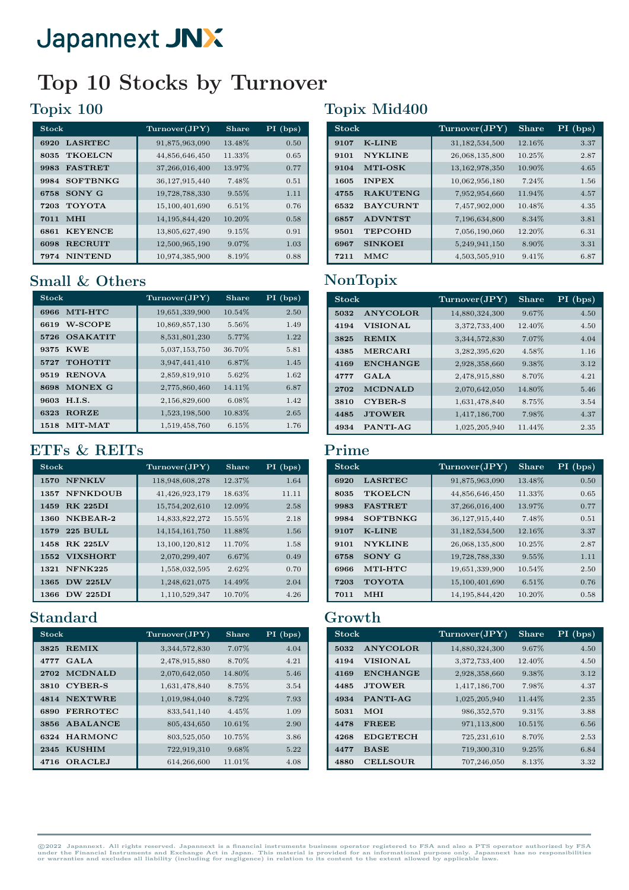## Top 10 Stocks by Turnover

#### Topix 100

| <b>Stock</b>            | Turnover(JPY)     | Share  | $PI$ (bps) |
|-------------------------|-------------------|--------|------------|
| <b>LASRTEC</b><br>6920  | 91,875,963,090    | 13.48% | 0.50       |
| <b>TKOELCN</b><br>8035  | 44,856,646,450    | 11.33% | 0.65       |
| <b>FASTRET</b><br>9983  | 37,266,016,400    | 13.97% | 0.77       |
| <b>SOFTBNKG</b><br>9984 | 36,127,915,440    | 7.48%  | 0.51       |
| SONY G<br>6758          | 19,728,788,330    | 9.55%  | 1.11       |
| <b>TOYOTA</b><br>7203   | 15,100,401,690    | 6.51%  | 0.76       |
| <b>MHI</b><br>7011      | 14, 195, 844, 420 | 10.20% | 0.58       |
| <b>KEYENCE</b><br>6861  | 13,805,627,490    | 9.15%  | 0.91       |
| <b>RECRUIT</b><br>6098  | 12,500,965,190    | 9.07%  | 1.03       |
| <b>NINTEND</b><br>7974  | 10,974,385,900    | 8.19%  | 0.88       |

#### Small & Others

| Stock                   | Turnover(JPY)  | Share  | PI (bps) |
|-------------------------|----------------|--------|----------|
| MTI-HTC<br>6966         | 19,651,339,900 | 10.54% | 2.50     |
| W-SCOPE<br>6619         | 10,869,857,130 | 5.56%  | 1.49     |
| <b>OSAKATIT</b><br>5726 | 8,531,801,230  | 5.77%  | 1.22     |
| <b>KWE</b><br>9375      | 5,037,153,750  | 36.70% | 5.81     |
| <b>TOHOTIT</b><br>5727  | 3,947,441,410  | 6.87%  | 1.45     |
| <b>RENOVA</b><br>9519   | 2,859,819,910  | 5.62%  | 1.62     |
| MONEX G<br>8698         | 2,775,860,460  | 14.11% | 6.87     |
| H.I.S.<br>9603          | 2,156,829,600  | 6.08%  | 1.42     |
| <b>RORZE</b><br>6323    | 1,523,198,500  | 10.83% | 2.65     |
| MIT-MAT<br>1518         | 1,519,458,760  | 6.15%  | 1.76     |

#### ETFs & REITs

| <b>Stock</b>            | Turnover(JPY)     | <b>Share</b> | $PI$ (bps) |
|-------------------------|-------------------|--------------|------------|
| <b>NFNKLV</b><br>1570   | 118,948,608,278   | 12.37%       | 1.64       |
| <b>NFNKDOUB</b><br>1357 | 41,426,923,179    | 18.63%       | 11.11      |
| <b>RK 225DI</b><br>1459 | 15,754,202,610    | 12.09%       | 2.58       |
| NKBEAR-2<br>1360        | 14,833,822,272    | 15.55%       | 2.18       |
| <b>225 BULL</b><br>1579 | 14, 154, 161, 750 | 11.88%       | 1.56       |
| <b>RK 225LV</b><br>1458 | 13,100,120,812    | 11.70%       | 1.58       |
| <b>VIXSHORT</b><br>1552 | 2,070,299,407     | 6.67%        | 0.49       |
| <b>NFNK225</b><br>1321  | 1,558,032,595     | 2.62%        | 0.70       |
| <b>DW 225LV</b><br>1365 | 1,248,621,075     | 14.49%       | 2.04       |
| <b>DW 225DI</b><br>1366 | 1,110,529,347     | 10.70%       | 4.26       |

#### Standard

| <b>Stock</b>            | Turnover(JPY) | Share   | $PI$ (bps) |
|-------------------------|---------------|---------|------------|
| <b>REMIX</b><br>3825    | 3,344,572,830 | 7.07%   | 4.04       |
| GALA<br>4777            | 2,478,915,880 | 8.70%   | 4.21       |
| <b>MCDNALD</b><br>2702  | 2,070,642,050 | 14.80%  | 5.46       |
| <b>CYBER-S</b><br>3810  | 1,631,478,840 | 8.75%   | 3.54       |
| <b>NEXTWRE</b><br>4814  | 1,019,984,040 | 8.72%   | 7.93       |
| <b>FERROTEC</b><br>6890 | 833,541,140   | 4.45%   | 1.09       |
| ABALANCE<br>3856        | 805,434,650   | 10.61%  | 2.90       |
| <b>HARMONC</b><br>6324  | 803,525,050   | 10.75%  | 3.86       |
| <b>KUSHIM</b><br>2345   | 722,919,310   | 9.68%   | 5.22       |
| <b>ORACLEJ</b><br>4716  | 614,266,600   | 11.01\% | 4.08       |

### Topix Mid400

| <b>Stock</b>            | Turnover(JPY)  | <b>Share</b> | $PI$ (bps) |
|-------------------------|----------------|--------------|------------|
| <b>K-LINE</b><br>9107   | 31,182,534,500 | 12.16%       | 3.37       |
| <b>NYKLINE</b><br>9101  | 26,068,135,800 | 10.25%       | 2.87       |
| MTI-OSK<br>9104         | 13,162,978,350 | 10.90%       | 4.65       |
| <b>INPEX</b><br>1605    | 10,062,956,180 | 7.24%        | 1.56       |
| <b>RAKUTENG</b><br>4755 | 7,952,954,660  | 11.94%       | 4.57       |
| <b>BAYCURNT</b><br>6532 | 7,457,902,000  | 10.48%       | 4.35       |
| <b>ADVNTST</b><br>6857  | 7,196,634,800  | 8.34\%       | 3.81       |
| <b>TEPCOHD</b><br>9501  | 7,056,190,060  | 12.20%       | 6.31       |
| <b>SINKOEI</b><br>6967  | 5,249,941,150  | 8.90%        | 3.31       |
| MMC<br>7211             | 4,503,505,910  | $9.41\%$     | 6.87       |

## NonTopix

| <b>Stock</b> |                 | Turnover(JPY)  | <b>Share</b> | $PI$ (bps) |
|--------------|-----------------|----------------|--------------|------------|
| 5032         | ANYCOLOR.       | 14,880,324,300 | 9.67%        | 4.50       |
| 4194         | <b>VISIONAL</b> | 3,372,733,400  | 12.40%       | 4.50       |
| 3825         | <b>REMIX</b>    | 3,344,572,830  | 7.07%        | 4.04       |
| 4385         | <b>MERCARI</b>  | 3,282,395,620  | 4.58%        | 1.16       |
| 4169         | <b>ENCHANGE</b> | 2,928,358,660  | 9.38%        | 3.12       |
| 4777         | GAT.A           | 2,478,915,880  | 8.70%        | 4.21       |
| 2702         | <b>MCDNALD</b>  | 2,070,642,050  | 14.80%       | 5.46       |
| 3810         | <b>CYBER-S</b>  | 1,631,478,840  | 8.75%        | 3.54       |
| 4485         | <b>JTOWER</b>   | 1,417,186,700  | 7.98%        | 4.37       |
| 4934         | PANTI-AG        | 1,025,205,940  | 11.44%       | 2.35       |

#### Prime

| $\operatorname*{Stock}% \left( \mathcal{N}\right) \equiv\operatorname*{Stock}\left( \mathcal{N}\right)$ |                 | Turnover(JPY)     | <b>Share</b> | PI (bps) |
|---------------------------------------------------------------------------------------------------------|-----------------|-------------------|--------------|----------|
| 6920                                                                                                    | <b>LASRTEC</b>  | 91,875,963,090    | 13.48%       | 0.50     |
| 8035                                                                                                    | <b>TKOELCN</b>  | 44,856,646,450    | 11.33%       | 0.65     |
| 9983                                                                                                    | <b>FASTRET</b>  | 37,266,016,400    | 13.97%       | 0.77     |
| 9984                                                                                                    | <b>SOFTBNKG</b> | 36, 127, 915, 440 | 7.48%        | 0.51     |
| 9107                                                                                                    | <b>K-LINE</b>   | 31, 182, 534, 500 | 12.16%       | 3.37     |
| 9101                                                                                                    | <b>NYKLINE</b>  | 26,068,135,800    | 10.25%       | 2.87     |
| 6758                                                                                                    | SONY G          | 19,728,788,330    | 9.55%        | 1.11     |
| 6966                                                                                                    | MTI-HTC         | 19,651,339,900    | 10.54%       | 2.50     |
| 7203                                                                                                    | <b>TOYOTA</b>   | 15,100,401,690    | 6.51%        | 0.76     |
| 7011                                                                                                    | MHI             | 14, 195, 844, 420 | 10.20%       | 0.58     |

#### Growth

| <b>Stock</b> |                 | Turnover(JPY)  | <b>Share</b> | $PI$ (bps) |
|--------------|-----------------|----------------|--------------|------------|
| 5032         | ANYCOLOR.       | 14,880,324,300 | 9.67%        | 4.50       |
| 4194         | <b>VISIONAL</b> | 3,372,733,400  | 12.40\%      | 4.50       |
| 4169         | <b>ENCHANGE</b> | 2,928,358,660  | 9.38%        | 3.12       |
| 4485         | <b>JTOWER</b>   | 1,417,186,700  | 7.98%        | 4.37       |
| 4934         | PANTI-AG        | 1,025,205,940  | 11.44%       | 2.35       |
| 5031         | MOI             | 986, 352, 570  | 9.31%        | 3.88       |
| 4478         | <b>FREEE</b>    | 971,113,800    | 10.51%       | 6.56       |
| 4268         | <b>EDGETECH</b> | 725, 231, 610  | 8.70%        | 2.53       |
| 4477         | <b>BASE</b>     | 719,300,310    | 9.25%        | 6.84       |
| 4880         | <b>CELLSOUR</b> | 707,246,050    | 8.13%        | 3.32       |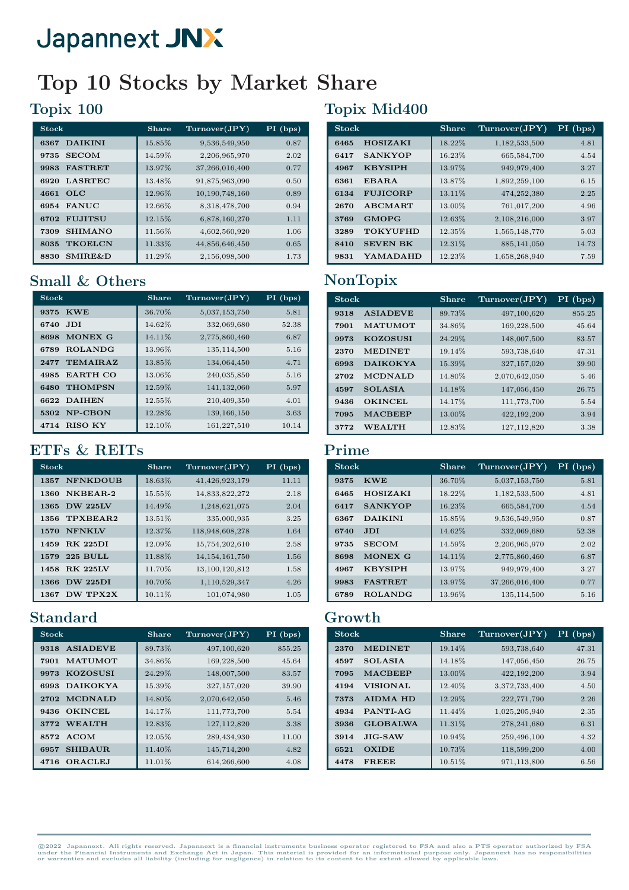## Top 10 Stocks by Market Share

### Topix 100

| <b>Stock</b>               | <b>Share</b> | Turnover(JPY)  | $PI$ (bps) |
|----------------------------|--------------|----------------|------------|
| <b>DAIKINI</b><br>6367     | 15.85%       | 9,536,549,950  | 0.87       |
| <b>SECOM</b><br>9735       | 14.59%       | 2,206,965,970  | 2.02       |
| <b>FASTRET</b><br>9983     | 13.97%       | 37,266,016,400 | 0.77       |
| <b>LASRTEC</b><br>6920     | 13.48%       | 91,875,963,090 | 0.50       |
| OLC<br>4661                | 12.96%       | 10,190,748,160 | 0.89       |
| <b>FANUC</b><br>6954       | 12.66%       | 8,318,478,700  | 0.94       |
| <b>FUJITSU</b><br>6702     | 12.15%       | 6,878,160,270  | 1.11       |
| <b>SHIMANO</b><br>7309     | 11.56%       | 4,602,560,920  | 1.06       |
| <b>TKOELCN</b><br>8035     | 11.33%       | 44,856,646,450 | 0.65       |
| <b>SMIRE&amp;D</b><br>8830 | 11.29%       | 2,156,098,500  | 1.73       |

### Small & Others

| <b>Stock</b>            | Share  | Turnover(JPY) | PI (bps) |
|-------------------------|--------|---------------|----------|
| <b>KWE</b><br>9375      | 36.70% | 5,037,153,750 | 5.81     |
| JDI.<br>6740            | 14.62% | 332,069,680   | 52.38    |
| MONEX G<br>8698         | 14.11% | 2,775,860,460 | 6.87     |
| <b>ROLANDG</b><br>6789  | 13.96% | 135,114,500   | 5.16     |
| <b>TEMAIRAZ</b><br>2477 | 13.85% | 134,064,450   | 4.71     |
| <b>EARTH CO</b><br>4985 | 13.06% | 240,035,850   | 5.16     |
| <b>THOMPSN</b><br>6480  | 12.59% | 141, 132, 060 | 5.97     |
| 6622 DAIHEN             | 12.55% | 210,409,350   | 4.01     |
| NP-CBON<br>5302         | 12.28% | 139, 166, 150 | 3.63     |
| <b>RISO KY</b><br>4714  | 12.10% | 161,227,510   | 10.14    |

### ETFs & REITs

| <b>Stock</b>            | Share  | Turnover(JPY)     | PI (bps) |
|-------------------------|--------|-------------------|----------|
| <b>NFNKDOUB</b><br>1357 | 18.63% | 41,426,923,179    | 11.11    |
| NKBEAR-2<br>1360        | 15.55% | 14,833,822,272    | 2.18     |
| <b>DW 225LV</b><br>1365 | 14.49% | 1,248,621,075     | 2.04     |
| TPXBEAR2<br>1356        | 13.51% | 335,000,935       | 3.25     |
| <b>NFNKLV</b><br>1570   | 12.37% | 118,948,608,278   | 1.64     |
| <b>RK 225DI</b><br>1459 | 12.09% | 15,754,202,610    | 2.58     |
| <b>225 BULL</b><br>1579 | 11.88% | 14, 154, 161, 750 | 1.56     |
| <b>RK 225LV</b><br>1458 | 11.70% | 13,100,120,812    | 1.58     |
| <b>DW 225DI</b><br>1366 | 10.70% | 1,110,529,347     | 4.26     |
| DW TPX2X<br>1367        | 10.11% | 101,074,980       | 1.05     |

### Standard

| <b>Stock</b>            | <b>Share</b> | Turnover(JPY) | $PI$ (bps) |
|-------------------------|--------------|---------------|------------|
| <b>ASIADEVE</b><br>9318 | 89.73%       | 497,100,620   | 855.25     |
| <b>MATUMOT</b><br>7901  | 34.86%       | 169,228,500   | 45.64      |
| <b>KOZOSUSI</b><br>9973 | 24.29%       | 148,007,500   | 83.57      |
| <b>DAIKOKYA</b><br>6993 | 15.39%       | 327, 157, 020 | 39.90      |
| <b>MCDNALD</b><br>2702  | 14.80%       | 2,070,642,050 | 5.46       |
| <b>OKINCEL</b><br>9436  | 14.17%       | 111,773,700   | 5.54       |
| <b>WEALTH</b><br>3772   | 12.83%       | 127, 112, 820 | 3.38       |
| 8572 ACOM               | 12.05%       | 289,434,930   | 11.00      |
| <b>SHIBAUR</b><br>6957  | 11.40%       | 145,714,200   | 4.82       |
| <b>ORACLEJ</b><br>4716  | 11.01\%      | 614,266,600   | 4.08       |

## Topix Mid400

| <b>Stock</b> |                 | Share  | $\Gamma$ urnover $(\mathrm{JPY})$ | $PI$ (bps) |
|--------------|-----------------|--------|-----------------------------------|------------|
| 6465         | HOSIZAKI        | 18.22% | 1,182,533,500                     | 4.81       |
| 6417         | <b>SANKYOP</b>  | 16.23% | 665,584,700                       | 4.54       |
| 4967         | <b>KBYSIPH</b>  | 13.97% | 949,979,400                       | 3.27       |
| 6361         | EBARA           | 13.87% | 1,892,259,100                     | 6.15       |
| 6134         | <b>FUJICORP</b> | 13.11% | 474,252,380                       | 2.25       |
| 2670         | <b>ABCMART</b>  | 13.00% | 761,017,200                       | 4.96       |
| 3769         | <b>GMOPG</b>    | 12.63% | 2,108,216,000                     | 3.97       |
| 3289         | <b>TOKYUFHD</b> | 12.35% | 1,565,148,770                     | 5.03       |
| 8410         | <b>SEVEN BK</b> | 12.31% | 885,141,050                       | 14.73      |
| 9831         | YAMADAHD        | 12.23% | 1,658,268,940                     | 7.59       |

## NonTopix

| <b>Stock</b>            | <b>Share</b> | Turnover(JPY) | $PI$ (bps) |
|-------------------------|--------------|---------------|------------|
| <b>ASIADEVE</b><br>9318 | 89.73%       | 497,100,620   | 855.25     |
| <b>MATUMOT</b><br>7901  | 34.86%       | 169,228,500   | 45.64      |
| <b>KOZOSUSI</b><br>9973 | 24.29%       | 148,007,500   | 83.57      |
| <b>MEDINET</b><br>2370  | 19.14%       | 593,738,640   | 47.31      |
| <b>DAIKOKYA</b><br>6993 | 15.39%       | 327,157,020   | 39.90      |
| <b>MCDNALD</b><br>2702  | 14.80%       | 2,070,642,050 | 5.46       |
| <b>SOLASIA</b><br>4597  | 14.18%       | 147,056,450   | 26.75      |
| <b>OKINCEL</b><br>9436  | 14.17%       | 111,773,700   | 5.54       |
| <b>MACBEEP</b><br>7095  | 13.00%       | 422,192,200   | 3.94       |
| <b>WEALTH</b><br>3772   | 12.83%       | 127, 112, 820 | 3.38       |

#### Prime

| <b>Stock</b> |                 | <b>Share</b> | Turnover(JPY)  | $PI$ (bps) |
|--------------|-----------------|--------------|----------------|------------|
| 9375         | <b>KWE</b>      | 36.70%       | 5,037,153,750  | 5.81       |
| 6465         | <b>HOSIZAKI</b> | 18.22%       | 1,182,533,500  | 4.81       |
| 6417         | <b>SANKYOP</b>  | 16.23%       | 665,584,700    | 4.54       |
| 6367         | <b>DAIKINI</b>  | 15.85%       | 9,536,549,950  | 0.87       |
| 6740         | JDI.            | 14.62%       | 332,069,680    | 52.38      |
| 9735         | <b>SECOM</b>    | 14.59%       | 2,206,965,970  | 2.02       |
| 8698         | MONEX G         | 14.11%       | 2,775,860,460  | 6.87       |
| 4967         | <b>KBYSIPH</b>  | 13.97%       | 949,979,400    | 3.27       |
| 9983         | <b>FASTRET</b>  | 13.97%       | 37,266,016,400 | 0.77       |
| 6789         | <b>ROLANDG</b>  | 13.96%       | 135,114,500    | 5.16       |

### Growth

| <b>Stock</b> |                 | <b>Share</b> | Turnover(JPY) | $PI$ (bps) |
|--------------|-----------------|--------------|---------------|------------|
| 2370         | <b>MEDINET</b>  | 19.14%       | 593,738,640   | 47.31      |
| 4597         | <b>SOLASIA</b>  | 14.18%       | 147,056,450   | 26.75      |
| 7095         | <b>MACBEEP</b>  | 13.00%       | 422,192,200   | 3.94       |
| 4194         | <b>VISIONAL</b> | 12.40%       | 3,372,733,400 | 4.50       |
| 7373         | <b>AIDMA HD</b> | 12.29%       | 222,771,790   | 2.26       |
| 4934         | PANTI-AG        | 11.44%       | 1,025,205,940 | 2.35       |
| 3936         | <b>GLOBALWA</b> | 11.31%       | 278,241,680   | 6.31       |
| 3914         | $JIG-SAW$       | 10.94%       | 259,496,100   | 4.32       |
| 6521         | <b>OXIDE</b>    | 10.73%       | 118,599,200   | 4.00       |
| 4478         | <b>FREEE</b>    | 10.51%       | 971,113,800   | 6.56       |